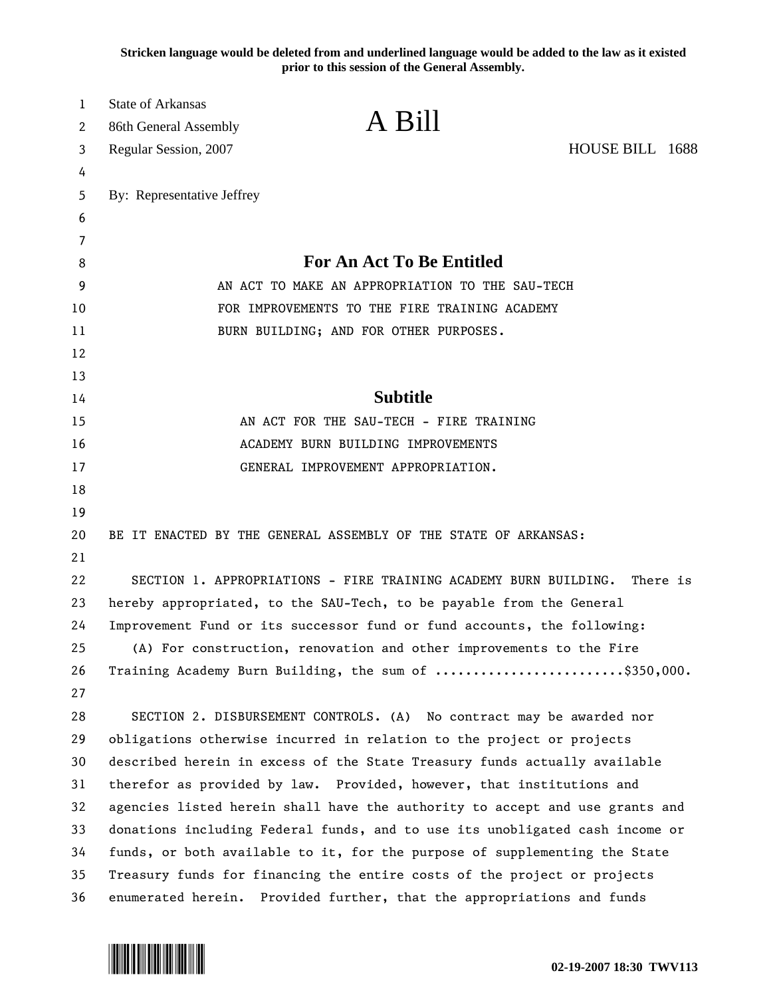**Stricken language would be deleted from and underlined language would be added to the law as it existed prior to this session of the General Assembly.**

| 1      | State of Arkansas                               | A Bill                                                                       |                 |  |
|--------|-------------------------------------------------|------------------------------------------------------------------------------|-----------------|--|
| 2      | 86th General Assembly                           |                                                                              |                 |  |
| 3      | Regular Session, 2007                           |                                                                              | HOUSE BILL 1688 |  |
| 4<br>5 | By: Representative Jeffrey                      |                                                                              |                 |  |
| 6      |                                                 |                                                                              |                 |  |
| 7      |                                                 |                                                                              |                 |  |
| 8      |                                                 | <b>For An Act To Be Entitled</b>                                             |                 |  |
| 9      | AN ACT TO MAKE AN APPROPRIATION TO THE SAU-TECH |                                                                              |                 |  |
| 10     |                                                 | FOR IMPROVEMENTS TO THE FIRE TRAINING ACADEMY                                |                 |  |
| 11     |                                                 | BURN BUILDING; AND FOR OTHER PURPOSES.                                       |                 |  |
| 12     |                                                 |                                                                              |                 |  |
| 13     |                                                 |                                                                              |                 |  |
| 14     |                                                 | <b>Subtitle</b>                                                              |                 |  |
| 15     |                                                 | AN ACT FOR THE SAU-TECH - FIRE TRAINING                                      |                 |  |
| 16     |                                                 | ACADEMY BURN BUILDING IMPROVEMENTS                                           |                 |  |
| 17     |                                                 | GENERAL IMPROVEMENT APPROPRIATION.                                           |                 |  |
| 18     |                                                 |                                                                              |                 |  |
| 19     |                                                 |                                                                              |                 |  |
| 20     |                                                 | BE IT ENACTED BY THE GENERAL ASSEMBLY OF THE STATE OF ARKANSAS:              |                 |  |
| 21     |                                                 |                                                                              |                 |  |
| 22     |                                                 | SECTION 1. APPROPRIATIONS - FIRE TRAINING ACADEMY BURN BUILDING.             | There is        |  |
| 23     |                                                 | hereby appropriated, to the SAU-Tech, to be payable from the General         |                 |  |
| 24     |                                                 | Improvement Fund or its successor fund or fund accounts, the following:      |                 |  |
| 25     |                                                 | (A) For construction, renovation and other improvements to the Fire          |                 |  |
| 26     |                                                 | Training Academy Burn Building, the sum of \$350,000.                        |                 |  |
| 27     |                                                 |                                                                              |                 |  |
| 28     |                                                 | SECTION 2. DISBURSEMENT CONTROLS. (A) No contract may be awarded nor         |                 |  |
| 29     |                                                 | obligations otherwise incurred in relation to the project or projects        |                 |  |
| 30     |                                                 | described herein in excess of the State Treasury funds actually available    |                 |  |
| 31     |                                                 | therefor as provided by law. Provided, however, that institutions and        |                 |  |
| 32     |                                                 | agencies listed herein shall have the authority to accept and use grants and |                 |  |
| 33     |                                                 | donations including Federal funds, and to use its unobligated cash income or |                 |  |
| 34     |                                                 | funds, or both available to it, for the purpose of supplementing the State   |                 |  |
| 35     |                                                 | Treasury funds for financing the entire costs of the project or projects     |                 |  |
| 36     |                                                 | enumerated herein. Provided further, that the appropriations and funds       |                 |  |